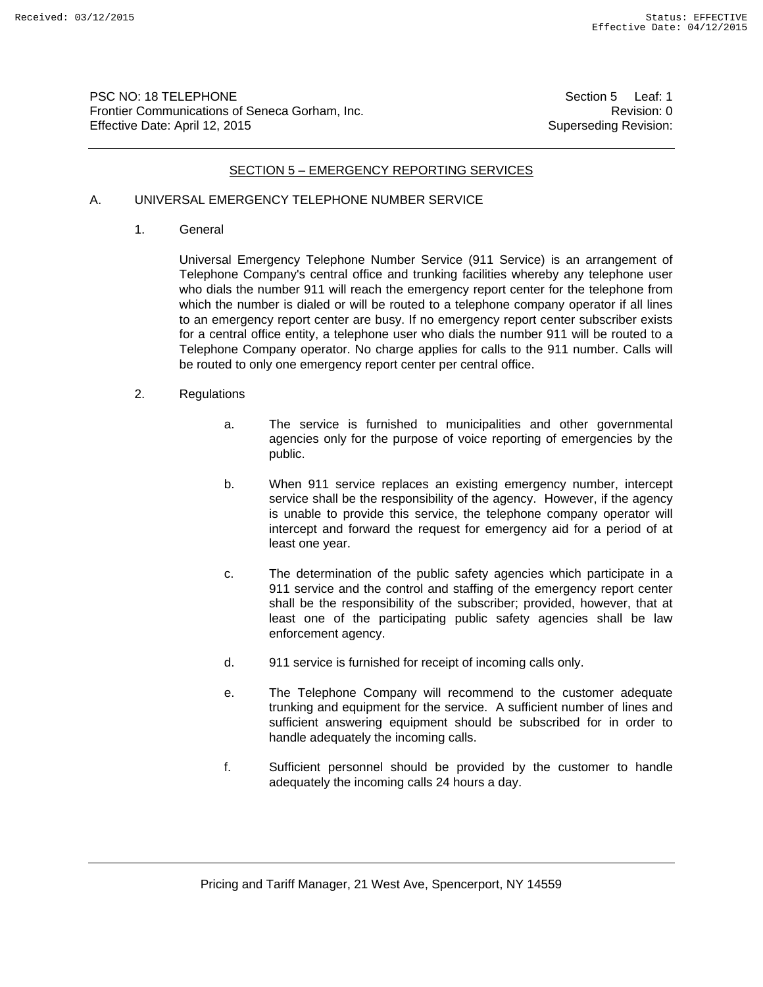PSC NO: 18 TELEPHONE Section 5 Leaf: 1 Frontier Communications of Seneca Gorham, Inc. **Revision: 0** Revision: 0 Effective Date: April 12, 2015 Superseding Revision:

#### SECTION 5 – EMERGENCY REPORTING SERVICES

# A. UNIVERSAL EMERGENCY TELEPHONE NUMBER SERVICE

1. General

Universal Emergency Telephone Number Service (911 Service) is an arrangement of Telephone Company's central office and trunking facilities whereby any telephone user who dials the number 911 will reach the emergency report center for the telephone from which the number is dialed or will be routed to a telephone company operator if all lines to an emergency report center are busy. If no emergency report center subscriber exists for a central office entity, a telephone user who dials the number 911 will be routed to a Telephone Company operator. No charge applies for calls to the 911 number. Calls will be routed to only one emergency report center per central office.

- 2. Regulations
	- a. The service is furnished to municipalities and other governmental agencies only for the purpose of voice reporting of emergencies by the public.
	- b. When 911 service replaces an existing emergency number, intercept service shall be the responsibility of the agency. However, if the agency is unable to provide this service, the telephone company operator will intercept and forward the request for emergency aid for a period of at least one year.
	- c. The determination of the public safety agencies which participate in a 911 service and the control and staffing of the emergency report center shall be the responsibility of the subscriber; provided, however, that at least one of the participating public safety agencies shall be law enforcement agency.
	- d. 911 service is furnished for receipt of incoming calls only.
	- e. The Telephone Company will recommend to the customer adequate trunking and equipment for the service. A sufficient number of lines and sufficient answering equipment should be subscribed for in order to handle adequately the incoming calls.
	- f. Sufficient personnel should be provided by the customer to handle adequately the incoming calls 24 hours a day.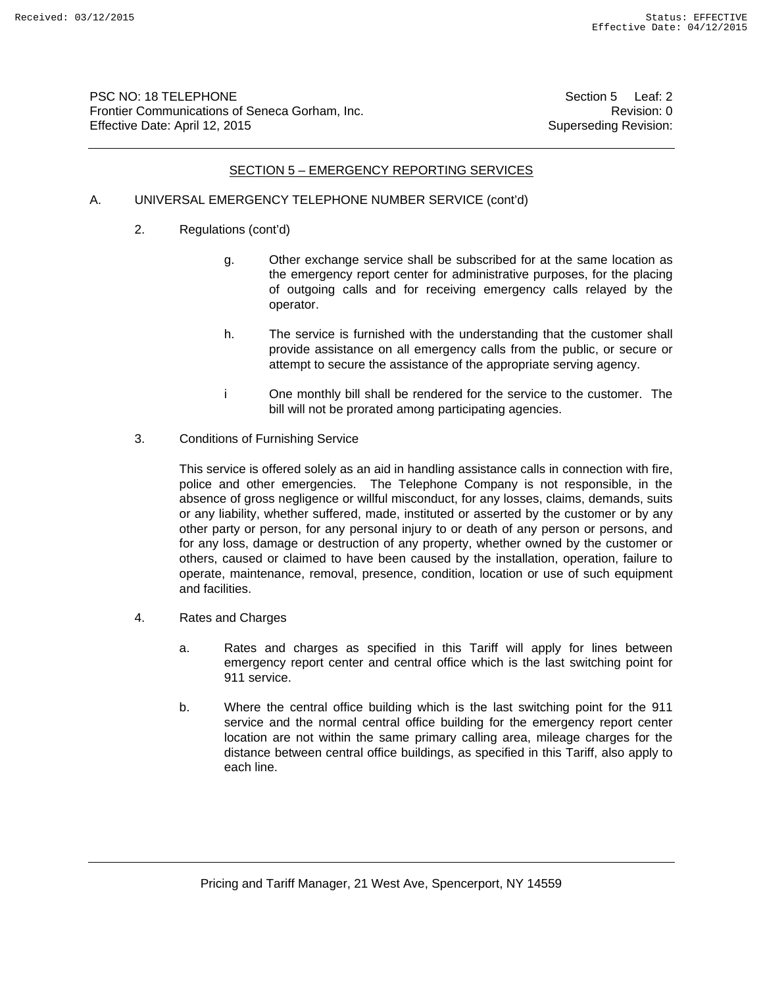PSC NO: 18 TELEPHONE Section 5 Leaf: 2 Frontier Communications of Seneca Gorham, Inc. **Revision: 0** Revision: 0 Effective Date: April 12, 2015 Superseding Revision:

#### SECTION 5 – EMERGENCY REPORTING SERVICES

## A. UNIVERSAL EMERGENCY TELEPHONE NUMBER SERVICE (cont'd)

- 2. Regulations (cont'd)
	- g. Other exchange service shall be subscribed for at the same location as the emergency report center for administrative purposes, for the placing of outgoing calls and for receiving emergency calls relayed by the operator.
	- h. The service is furnished with the understanding that the customer shall provide assistance on all emergency calls from the public, or secure or attempt to secure the assistance of the appropriate serving agency.
	- i One monthly bill shall be rendered for the service to the customer. The bill will not be prorated among participating agencies.
- 3. Conditions of Furnishing Service

This service is offered solely as an aid in handling assistance calls in connection with fire, police and other emergencies. The Telephone Company is not responsible, in the absence of gross negligence or willful misconduct, for any losses, claims, demands, suits or any liability, whether suffered, made, instituted or asserted by the customer or by any other party or person, for any personal injury to or death of any person or persons, and for any loss, damage or destruction of any property, whether owned by the customer or others, caused or claimed to have been caused by the installation, operation, failure to operate, maintenance, removal, presence, condition, location or use of such equipment and facilities.

- 4. Rates and Charges
	- a. Rates and charges as specified in this Tariff will apply for lines between emergency report center and central office which is the last switching point for 911 service.
	- b. Where the central office building which is the last switching point for the 911 service and the normal central office building for the emergency report center location are not within the same primary calling area, mileage charges for the distance between central office buildings, as specified in this Tariff, also apply to each line.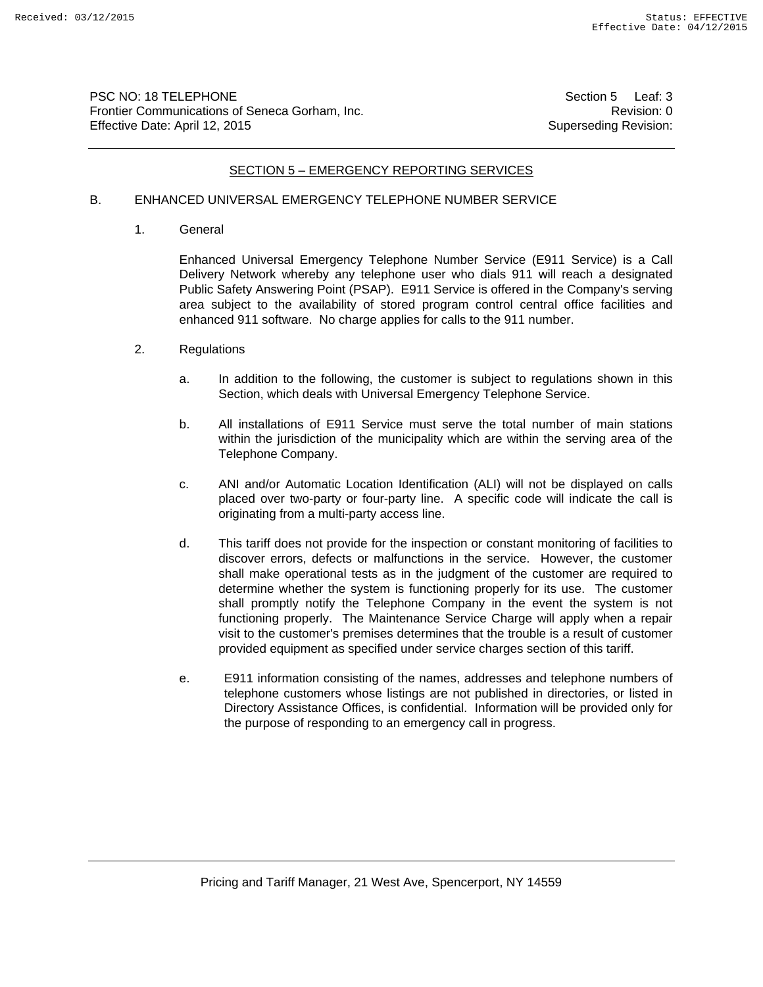PSC NO: 18 TELEPHONE Section 5 Leaf: 3 Frontier Communications of Seneca Gorham, Inc. **Revision: 0** Revision: 0 Effective Date: April 12, 2015 Superseding Revision:

#### SECTION 5 – EMERGENCY REPORTING SERVICES

# B. ENHANCED UNIVERSAL EMERGENCY TELEPHONE NUMBER SERVICE

1. General

Enhanced Universal Emergency Telephone Number Service (E911 Service) is a Call Delivery Network whereby any telephone user who dials 911 will reach a designated Public Safety Answering Point (PSAP). E911 Service is offered in the Company's serving area subject to the availability of stored program control central office facilities and enhanced 911 software. No charge applies for calls to the 911 number.

- 2. Regulations
	- a. In addition to the following, the customer is subject to regulations shown in this Section, which deals with Universal Emergency Telephone Service.
	- b. All installations of E911 Service must serve the total number of main stations within the jurisdiction of the municipality which are within the serving area of the Telephone Company.
	- c. ANI and/or Automatic Location Identification (ALI) will not be displayed on calls placed over two-party or four-party line. A specific code will indicate the call is originating from a multi-party access line.
	- d. This tariff does not provide for the inspection or constant monitoring of facilities to discover errors, defects or malfunctions in the service. However, the customer shall make operational tests as in the judgment of the customer are required to determine whether the system is functioning properly for its use. The customer shall promptly notify the Telephone Company in the event the system is not functioning properly. The Maintenance Service Charge will apply when a repair visit to the customer's premises determines that the trouble is a result of customer provided equipment as specified under service charges section of this tariff.
	- e. E911 information consisting of the names, addresses and telephone numbers of telephone customers whose listings are not published in directories, or listed in Directory Assistance Offices, is confidential. Information will be provided only for the purpose of responding to an emergency call in progress.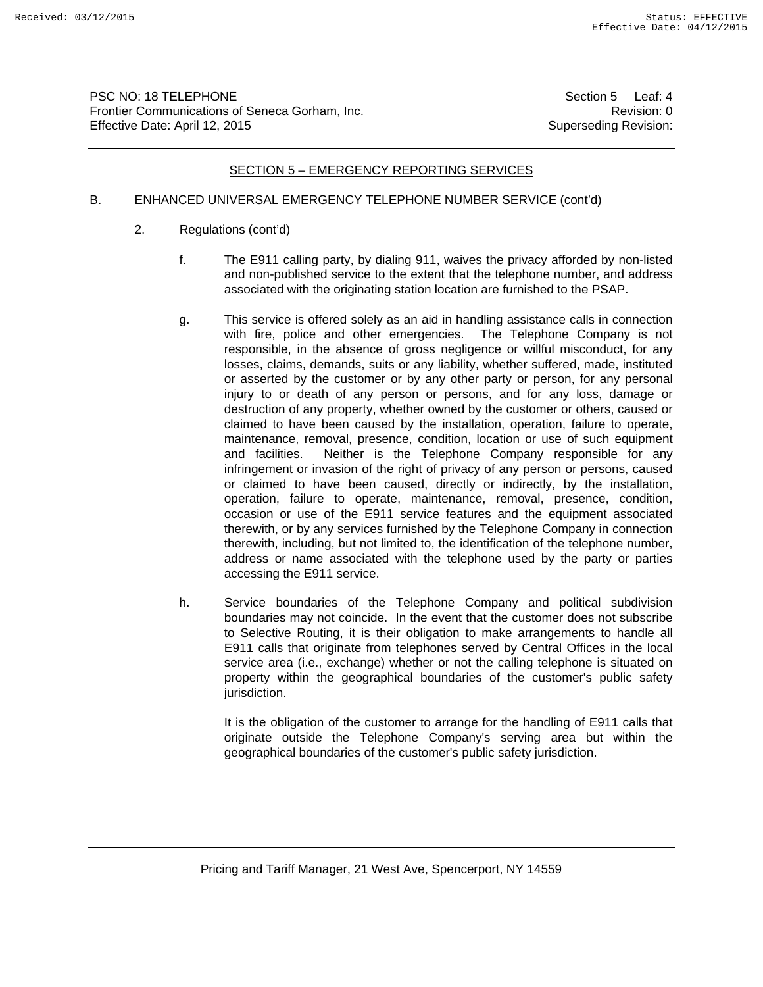PSC NO: 18 TELEPHONE Section 5 Leaf: 4 Frontier Communications of Seneca Gorham, Inc. **Example 2018** 2019 12:30 Revision: 0 Effective Date: April 12, 2015 Superseding Revision:

## SECTION 5 – EMERGENCY REPORTING SERVICES

# B. ENHANCED UNIVERSAL EMERGENCY TELEPHONE NUMBER SERVICE (cont'd)

- 2. Regulations (cont'd)
	- f. The E911 calling party, by dialing 911, waives the privacy afforded by non-listed and non-published service to the extent that the telephone number, and address associated with the originating station location are furnished to the PSAP.
	- g. This service is offered solely as an aid in handling assistance calls in connection with fire, police and other emergencies. The Telephone Company is not responsible, in the absence of gross negligence or willful misconduct, for any losses, claims, demands, suits or any liability, whether suffered, made, instituted or asserted by the customer or by any other party or person, for any personal injury to or death of any person or persons, and for any loss, damage or destruction of any property, whether owned by the customer or others, caused or claimed to have been caused by the installation, operation, failure to operate, maintenance, removal, presence, condition, location or use of such equipment and facilities. Neither is the Telephone Company responsible for any infringement or invasion of the right of privacy of any person or persons, caused or claimed to have been caused, directly or indirectly, by the installation, operation, failure to operate, maintenance, removal, presence, condition, occasion or use of the E911 service features and the equipment associated therewith, or by any services furnished by the Telephone Company in connection therewith, including, but not limited to, the identification of the telephone number, address or name associated with the telephone used by the party or parties accessing the E911 service.
	- h. Service boundaries of the Telephone Company and political subdivision boundaries may not coincide. In the event that the customer does not subscribe to Selective Routing, it is their obligation to make arrangements to handle all E911 calls that originate from telephones served by Central Offices in the local service area (i.e., exchange) whether or not the calling telephone is situated on property within the geographical boundaries of the customer's public safety jurisdiction.

It is the obligation of the customer to arrange for the handling of E911 calls that originate outside the Telephone Company's serving area but within the geographical boundaries of the customer's public safety jurisdiction.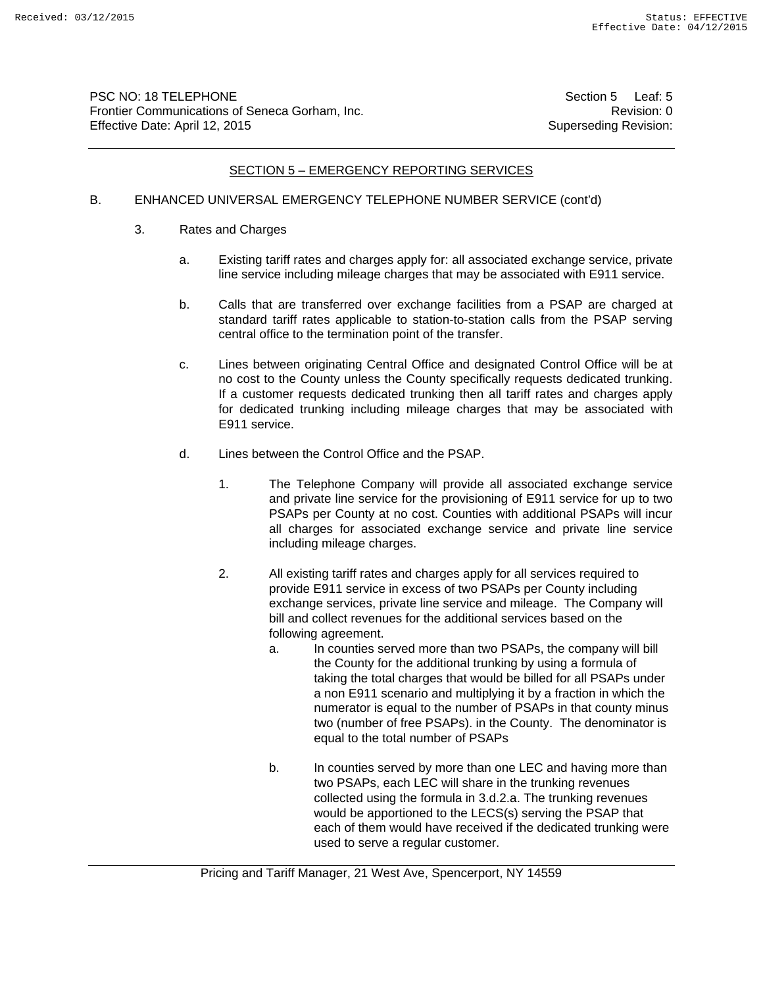PSC NO: 18 TELEPHONE Section 5 Leaf: 5 Frontier Communications of Seneca Gorham, Inc. **Revision: 0** Revision: 0 Effective Date: April 12, 2015 Superseding Revision:

## SECTION 5 – EMERGENCY REPORTING SERVICES

# B. ENHANCED UNIVERSAL EMERGENCY TELEPHONE NUMBER SERVICE (cont'd)

- 3. Rates and Charges
	- a. Existing tariff rates and charges apply for: all associated exchange service, private line service including mileage charges that may be associated with E911 service.
	- b. Calls that are transferred over exchange facilities from a PSAP are charged at standard tariff rates applicable to station-to-station calls from the PSAP serving central office to the termination point of the transfer.
	- c. Lines between originating Central Office and designated Control Office will be at no cost to the County unless the County specifically requests dedicated trunking. If a customer requests dedicated trunking then all tariff rates and charges apply for dedicated trunking including mileage charges that may be associated with E911 service.
	- d. Lines between the Control Office and the PSAP.
		- 1. The Telephone Company will provide all associated exchange service and private line service for the provisioning of E911 service for up to two PSAPs per County at no cost. Counties with additional PSAPs will incur all charges for associated exchange service and private line service including mileage charges.
		- 2. All existing tariff rates and charges apply for all services required to provide E911 service in excess of two PSAPs per County including exchange services, private line service and mileage. The Company will bill and collect revenues for the additional services based on the following agreement.
			- a. In counties served more than two PSAPs, the company will bill the County for the additional trunking by using a formula of taking the total charges that would be billed for all PSAPs under a non E911 scenario and multiplying it by a fraction in which the numerator is equal to the number of PSAPs in that county minus two (number of free PSAPs). in the County. The denominator is equal to the total number of PSAPs
			- b. In counties served by more than one LEC and having more than two PSAPs, each LEC will share in the trunking revenues collected using the formula in 3.d.2.a. The trunking revenues would be apportioned to the LECS(s) serving the PSAP that each of them would have received if the dedicated trunking were used to serve a regular customer.